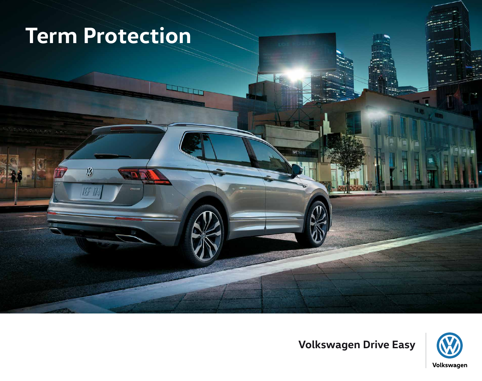# **Term Protection**

 $\boldsymbol{V}$ 

TF 1

 $\overline{\phantom{a}}$ 



**SUSHI** 

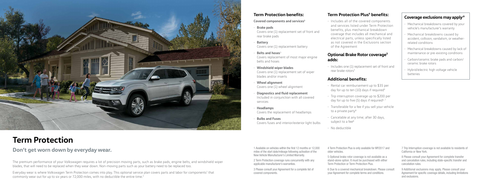1 Available on vehicles within the first 12 months or 12,000 miles of the start date/mileage following activation of the New Vehicle Manufacturer's Limited Warranty.

2 Term Protection coverage runs concurrently with any applicable manufacturer's warranties.

3 Please consult your Agreement for a complete list of covered components.

#### **Term Protection Plus<sup>4</sup> benefits:**

5 Optional brake rotor coverage is not available as a stand-alone option. It must be purchased with either Term Protection or Term Protection Plus.

6 Due to a covered mechanical breakdown. Please consult your Agreement for complete terms and conditions.

7 Trip Interruption coverage is not available to residents of California or New York.

8 Please consult your Agreement for complete transfer and cancelation rules, including state-specific transfer and cancelation rules.

9 Additional exclusions may apply. Please consult your Agreement for specific coverage details, including limitations and exclusions.

• Includes one (1) replacement set of front and rear brake rotors<sup>5</sup>

#### **Term Protection benefits:**

**Covered components and services3**

• **Brake pads**

Covers one (1) replacement set of front and rear brake pads

- **Battery** Covers one (1) replacement battery
- **Belts and hoses**<sup>3</sup>

- Rental car reimbursement up to \$35 per day for up to ten (10) days if required<sup>6</sup>
- Trip interruption coverage up to \$200 per day for up to five  $(5)$  days if required<sup>6,7</sup>
- Transferable for a fee if you sell your vehicle to a private party $8$
- Cancelable at any time; after 30 days, subject to a fee<sup>8</sup>
- No deductible
- 4 Term Protection Plus is only available for MY2017 and older vehicles.

Covers replacement of most major engine belts and hoses

- **Windshield wiper blades** Covers one (1) replacement set of wiper blades and/or inserts
- **Wheel alignment** Covers one (1) wheel alignment
- **Diagnostics and fluid replacement** Included in conjunction with all covered services
- **Headlamps** Covers the replacement of headlamps
- **Bulbs and Fuses**

Covers fuses and interior/exterior light bulbs

• Includes all of the covered components and services listed under Term Protection benefits, plus mechanical breakdown coverage that includes all mechanical and electrical parts, unless specifically listed as not covered in the Exclusions section of the Agreement

#### **Optional Brake Rotor coverage5 adds:**

#### **Additional benefits:**

#### **Coverage exclusions may apply:9**

- Mechanical breakdowns covered by your vehicle's manufacturer's warranty
- Mechanical breakdowns caused by accident, collision, vandalism, or weatherrelated conditions
- Mechanical breakdowns caused by lack of maintenance or pre-existing conditions
- Carbon/ceramic brake pads and carbon/ ceramic brake rotors
- Hybrid/electric high voltage vehicle batteries



# **Term Protection**

## **Don't get worn down by everyday wear.**

The premium performance of your Volkswagen requires a lot of precision moving parts, such as brake pads, engine belts, and windshield wiper blades, that will need to be replaced when they wear down. Non-moving parts such as your battery need to be replaced too.

Everyday wear is where Volkswagen Term Protection comes into play. This optional service plan covers parts and labor for components<sup>1</sup> that commonly wear out for up to six years or 72,000 miles, with no deductible the entire time.<sup>2</sup>